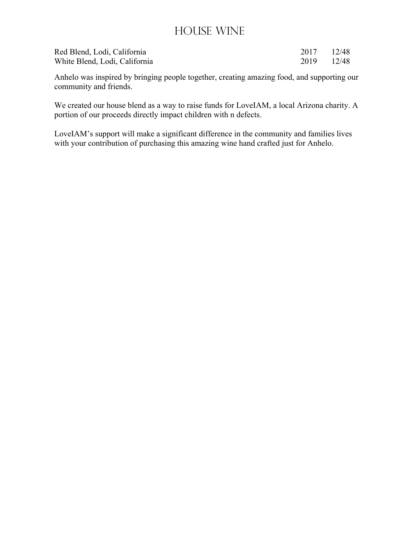#### House Wine

| Red Blend, Lodi, California   | 2017 12/48 |  |
|-------------------------------|------------|--|
| White Blend, Lodi, California | 2019 12/48 |  |

Anhelo was inspired by bringing people together, creating amazing food, and supporting our community and friends.

We created our house blend as a way to raise funds for LoveIAM, a local Arizona charity. A portion of our proceeds directly impact children with n defects.

LoveIAM's support will make a significant difference in the community and families lives with your contribution of purchasing this amazing wine hand crafted just for Anhelo.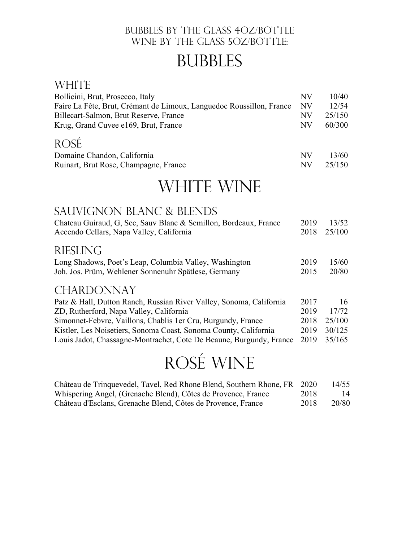#### Bubbles By the Glass 4OZ/Bottle WINE BY THE GLASS 5OZ/BOTTLE:

# **BUBBLES**

#### **WHITE**

| Bollicini, Brut, Prosecco, Italy                                              | NV       | 10/40           |
|-------------------------------------------------------------------------------|----------|-----------------|
| Faire La Fête, Brut, Crémant de Limoux, Languedoc Roussillon, France          | NV       | 12/54           |
| Billecart-Salmon, Brut Reserve, France                                        | NV       | 25/150          |
| Krug, Grand Cuvee e169, Brut, France                                          | NV       | 60/300          |
| ROSÉ.<br>Domaine Chandon, California<br>Ruinart, Brut Rose, Champagne, France | NV<br>NV | 13/60<br>25/150 |

# WHITE WINE

#### Sauvignon Blanc & Blends

| Chateau Guiraud, G, Sec, Sauv Blanc & Semillon, Bordeaux, France    | 2019 | 13/52  |
|---------------------------------------------------------------------|------|--------|
| Accendo Cellars, Napa Valley, California                            | 2018 | 25/100 |
| <b>RIESLING</b>                                                     |      |        |
| Long Shadows, Poet's Leap, Columbia Valley, Washington              | 2019 | 15/60  |
| Joh. Jos. Prüm, Wehlener Sonnenuhr Spätlese, Germany                | 2015 | 20/80  |
|                                                                     |      |        |
| <b>CHARDONNAY</b>                                                   |      |        |
| Patz & Hall, Dutton Ranch, Russian River Valley, Sonoma, California | 2017 | 16     |
| ZD, Rutherford, Napa Valley, California                             | 2019 | 17/72  |
| Simonnet-Febvre, Vaillons, Chablis 1 er Cru, Burgundy, France       | 2018 | 25/100 |
| Kistler, Les Noisetiers, Sonoma Coast, Sonoma County, California    | 2019 | 30/125 |
| Louis Jadot, Chassagne-Montrachet, Cote De Beaune, Burgundy, France | 2019 | 35/165 |

# Rosé Wine

| Château de Trinquevedel, Tavel, Red Rhone Blend, Southern Rhone, FR 2020 |      | 14/55 |
|--------------------------------------------------------------------------|------|-------|
| Whispering Angel, (Grenache Blend), Côtes de Provence, France            | 2018 | 14    |
| Château d'Esclans, Grenache Blend, Côtes de Provence, France             | 2018 | 20/80 |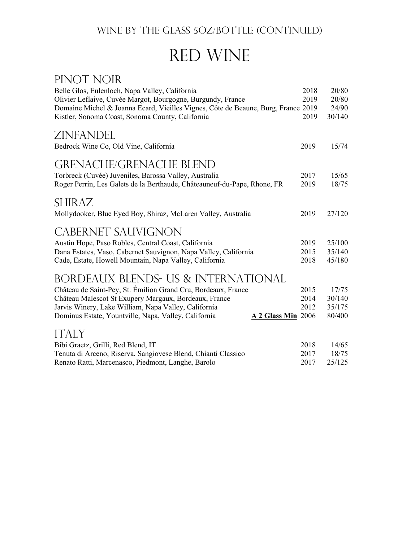#### WINE BY THE GLASS 5OZ/BOTTLE: (CONTINUED)

# Red Wine

| PINOT NOIR                                                                        |      |        |
|-----------------------------------------------------------------------------------|------|--------|
| Belle Glos, Eulenloch, Napa Valley, California                                    | 2018 | 20/80  |
| Olivier Leflaive, Cuvée Margot, Bourgogne, Burgundy, France                       | 2019 | 20/80  |
| Domaine Michel & Joanna Ecard, Vieilles Vignes, Côte de Beaune, Burg, France 2019 |      | 24/90  |
| Kistler, Sonoma Coast, Sonoma County, California                                  | 2019 | 30/140 |
| ZINFANDEL                                                                         |      |        |
| Bedrock Wine Co, Old Vine, California                                             | 2019 | 15/74  |
| <b>GRENACHE/GRENACHE BLEND</b>                                                    |      |        |
| Torbreck (Cuvée) Juveniles, Barossa Valley, Australia                             | 2017 | 15/65  |
| Roger Perrin, Les Galets de la Berthaude, Châteauneuf-du-Pape, Rhone, FR          | 2019 | 18/75  |
|                                                                                   |      |        |
| <b>SHIRAZ</b>                                                                     |      |        |
| Mollydooker, Blue Eyed Boy, Shiraz, McLaren Valley, Australia                     | 2019 | 27/120 |
|                                                                                   |      |        |
| <b>CABERNET SAUVIGNON</b>                                                         |      |        |
| Austin Hope, Paso Robles, Central Coast, California                               | 2019 | 25/100 |
| Dana Estates, Vaso, Cabernet Sauvignon, Napa Valley, California                   | 2015 | 35/140 |
| Cade, Estate, Howell Mountain, Napa Valley, California                            | 2018 | 45/180 |
| BORDEAUX BLENDS- US & INTERNATIONAL                                               |      |        |
| Château de Saint-Pey, St. Émilion Grand Cru, Bordeaux, France                     | 2015 | 17/75  |
| Château Malescot St Exupery Margaux, Bordeaux, France                             | 2014 | 30/140 |
| Jarvis Winery, Lake William, Napa Valley, California                              | 2012 | 35/175 |
| Dominus Estate, Yountville, Napa, Valley, California<br>A 2 Glass Min 2006        |      | 80/400 |
| <b>ITALY</b>                                                                      |      |        |
| Bibi Graetz, Grilli, Red Blend, IT                                                | 2018 | 14/65  |
| Tenuta di Arceno, Riserva, Sangiovese Blend, Chianti Classico                     | 2017 | 18/75  |
| Renato Ratti, Marcenasco, Piedmont, Langhe, Barolo                                | 2017 | 25/125 |
|                                                                                   |      |        |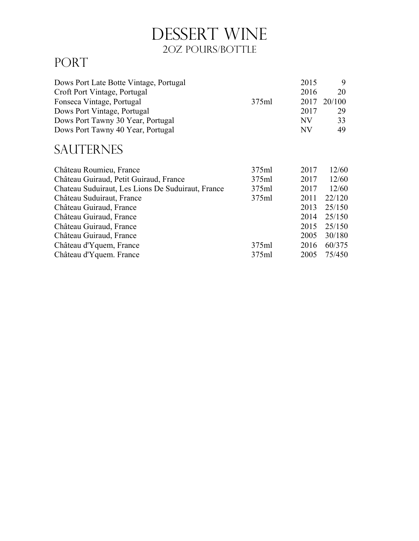# DESSERT WINE 2OZ POURS/BOTTLE

## PORT

| Dows Port Late Botte Vintage, Portugal            |       | 2015 | 9      |
|---------------------------------------------------|-------|------|--------|
| Croft Port Vintage, Portugal                      |       | 2016 | 20     |
| Fonseca Vintage, Portugal                         | 375ml | 2017 | 20/100 |
| Dows Port Vintage, Portugal                       |       | 2017 | 29     |
| Dows Port Tawny 30 Year, Portugal                 |       | NV   | 33     |
| Dows Port Tawny 40 Year, Portugal                 |       | NV   | 49     |
| <b>SAUTERNES</b>                                  |       |      |        |
| Château Roumieu, France                           | 375ml | 2017 | 12/60  |
| Château Guiraud, Petit Guiraud, France            | 375ml | 2017 | 12/60  |
| Chateau Suduiraut, Les Lions De Suduiraut, France | 375ml | 2017 | 12/60  |
| Château Suduiraut, France                         | 375ml | 2011 | 22/120 |
| Château Guiraud, France                           |       | 2013 | 25/150 |
| Château Guiraud, France                           |       | 2014 | 25/150 |
| Château Guiraud, France                           |       | 2015 | 25/150 |
| Château Guiraud, France                           |       | 2005 | 30/180 |
| Château d'Yquem, France                           | 375ml | 2016 | 60/375 |
| Château d'Yquem. France                           | 375ml | 2005 | 75/450 |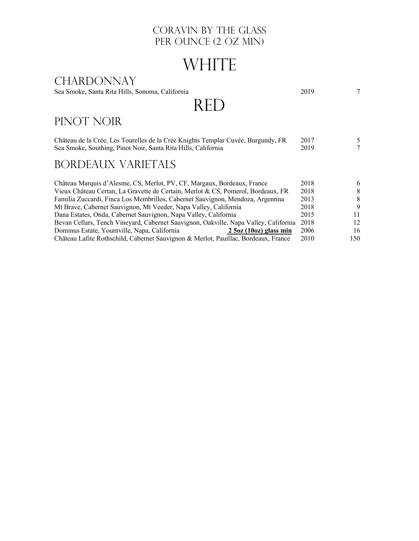#### CORAVIN BY THE GLASS PER OUNCE (2 OZ MIN)

# WHITE

#### CHARDONNAY

Sea Smoke, Santa Rita Hills, Sonoma, California 2019 7

# RED

### PINOT NOIR

| Château de la Crée, Les Tourelles de la Crée Knights Templar Cuvée, Burgundy, FR | 2017 |  |
|----------------------------------------------------------------------------------|------|--|
| Sea Smoke, Southing, Pinot Noir, Santa Rita Hills, California                    | 2019 |  |

### Bordeaux Varietals

| Château Marquis d'Alesme, CS, Merlot, PV, CF, Margaux, Bordeaux, France              | 2018 | 6    |
|--------------------------------------------------------------------------------------|------|------|
| Vieux Château Certan, La Gravette de Certain, Merlot & CS, Pomerol, Bordeaux, FR     | 2018 | 8    |
| Familia Zuccardi, Finca Los Membrillos, Cabernet Sauvignon, Mendoza, Argentina       | 2013 | 8    |
| Mt Brave, Cabernet Sauvignon, Mt Veeder, Napa Valley, California                     | 2018 | 9    |
| Dana Estates, Onda, Cabernet Sauvignon, Napa Valley, California                      | 2015 |      |
| Bevan Cellars, Tench Vineyard, Cabernet Sauvignon, Oakville, Napa Valley, California | 2018 | 12   |
| Dominus Estate, Yountville, Napa, California<br>$2.5$ oz (10oz) glass min            | 2006 | 16   |
| Château Lafite Rothschild, Cabernet Sauvignon & Merlot, Pauillac, Bordeaux, France   | 2010 | 150. |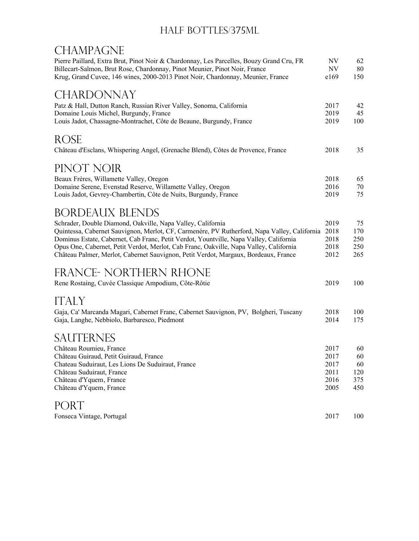#### HALF BOTTLES/375ML

### **CHAMPAGNE**

| Pierre Paillard, Extra Brut, Pinot Noir & Chardonnay, Les Parcelles, Bouzy Grand Cru, FR<br>Billecart-Salmon, Brut Rose, Chardonnay, Pinot Meunier, Pinot Noir, France<br>Krug, Grand Cuvee, 146 wines, 2000-2013 Pinot Noir, Chardonnay, Meunier, France | NV<br>NV<br>e169 | 62<br>80<br>150 |
|-----------------------------------------------------------------------------------------------------------------------------------------------------------------------------------------------------------------------------------------------------------|------------------|-----------------|
| <b>CHARDONNAY</b>                                                                                                                                                                                                                                         |                  |                 |
| Patz & Hall, Dutton Ranch, Russian River Valley, Sonoma, California                                                                                                                                                                                       | 2017             | 42              |
| Domaine Louis Michel, Burgundy, France                                                                                                                                                                                                                    | 2019             | 45              |
| Louis Jadot, Chassagne-Montrachet, Côte de Beaune, Burgundy, France                                                                                                                                                                                       | 2019             | 100             |
| <b>ROSE</b>                                                                                                                                                                                                                                               |                  |                 |
| Château d'Esclans, Whispering Angel, (Grenache Blend), Côtes de Provence, France                                                                                                                                                                          | 2018             | 35              |
| PINOT NOIR                                                                                                                                                                                                                                                |                  |                 |
| Beaux Frères, Willamette Valley, Oregon                                                                                                                                                                                                                   | 2018             | 65              |
| Domaine Serene, Evenstad Reserve, Willamette Valley, Oregon                                                                                                                                                                                               | 2016             | 70              |
| Louis Jadot, Gevrey-Chambertin, Côte de Nuits, Burgundy, France                                                                                                                                                                                           | 2019             | 75              |
| <b>BORDEAUX BLENDS</b>                                                                                                                                                                                                                                    |                  |                 |
| Schrader, Double Diamond, Oakville, Napa Valley, California                                                                                                                                                                                               | 2019             | 75              |
| Quintessa, Cabernet Sauvignon, Merlot, CF, Carmenére, PV Rutherford, Napa Valley, California                                                                                                                                                              | 2018             | 170             |
| Dominus Estate, Cabernet, Cab Franc, Petit Verdot, Yountville, Napa Valley, California                                                                                                                                                                    | 2018             | 250             |
| Opus One, Cabernet, Petit Verdot, Merlot, Cab Franc, Oakville, Napa Valley, California                                                                                                                                                                    | 2018             | 250             |
| Château Palmer, Merlot, Cabernet Sauvignon, Petit Verdot, Margaux, Bordeaux, France                                                                                                                                                                       | 2012             | 265             |
| FRANCE- NORTHERN RHONE                                                                                                                                                                                                                                    |                  |                 |
| Rene Rostaing, Cuvée Classique Ampodium, Côte-Rôtie                                                                                                                                                                                                       | 2019             | 100             |
| <b>ITALY</b>                                                                                                                                                                                                                                              |                  |                 |
|                                                                                                                                                                                                                                                           | 2018             | 100             |
| Gaja, Ca' Marcanda Magari, Cabernet Franc, Cabernet Sauvignon, PV, Bolgheri, Tuscany<br>Gaja, Langhe, Nebbiolo, Barbaresco, Piedmont                                                                                                                      | 2014             | 175             |
| <b>SAUTERNES</b>                                                                                                                                                                                                                                          |                  |                 |
|                                                                                                                                                                                                                                                           |                  |                 |
| Château Roumieu, France<br>Château Guiraud, Petit Guiraud, France                                                                                                                                                                                         | 2017<br>2017     | 60<br>60        |
| Chateau Suduiraut, Les Lions De Suduiraut, France                                                                                                                                                                                                         | 2017             | 60              |
| Château Suduiraut, France                                                                                                                                                                                                                                 | 2011             | 120             |
| Château d'Yquem, France                                                                                                                                                                                                                                   | 2016             | 375             |
| Château d'Yquem, France                                                                                                                                                                                                                                   | 2005             | 450             |
| <b>PORT</b>                                                                                                                                                                                                                                               |                  |                 |
| Fonseca Vintage, Portugal                                                                                                                                                                                                                                 | 2017             | 100             |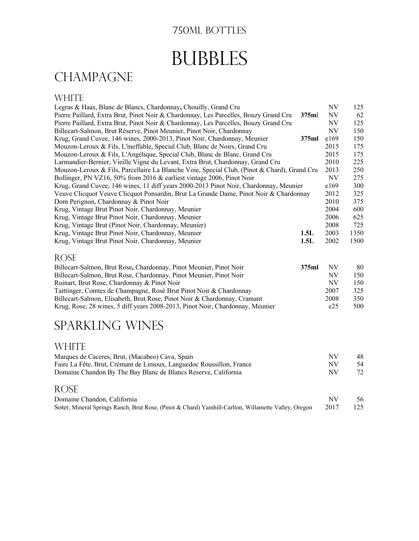#### 750ML BOTTLES

# **BUBBLES**

# **CHAMPAGNE**

#### **WHITE**

| Legras & Haas, Blanc de Blancs, Chardonnay, Chouilly, Grand Cru                             |       | NV        | 125  |
|---------------------------------------------------------------------------------------------|-------|-----------|------|
| Pierre Paillard, Extra Brut, Pinot Noir & Chardonnay, Les Parcelles, Bouzy Grand Cru        | 375ml | <b>NV</b> | 62   |
| Pierre Paillard, Extra Brut, Pinot Noir & Chardonnay, Les Parcelles, Bouzy Grand Cru        |       | NV        | 125  |
| Billecart-Salmon, Brut Réserve, Pinot Meunier, Pinot Noir, Chardonnay                       |       | NV        | 150  |
| Krug, Grand Cuvee, 146 wines, 2000-2013, Pinot Noir, Chardonnay, Meunier                    | 375ml | e169      | 150  |
| Mouzon-Leroux & Fils, L'ineffable, Special Club, Blanc de Noirs, Grand Cru                  |       | 2015      | 175  |
| Mouzon-Leroux & Fils, L'Angélique, Special Club, Blanc de Blanc, Grand Cru                  |       | 2015      | 175  |
| Larmandier-Bernier, Vieille Vigne du Levant, Extra Brut, Chardonnay, Grand Cru              |       | 2010      | 225  |
| Mouzon-Leroux & Fils, Parcellaire La Blanche Voie, Special Club, (Pinot & Chard), Grand Cru |       | 2013      | 250  |
| Bollinger, PN VZ16, 50% from 2016 & earliest vintage 2006, Pinot Noir                       |       | NV        | 275  |
| Krug, Grand Cuvee, 146 wines, 11 diff years 2000-2013 Pinot Noir, Chardonnay, Meunier       |       | e169      | 300  |
| Veuve Clicquot Veuve Clicquot Ponsardin, Brut La Grande Dame, Pinot Noir & Chardonnay       |       | 2012      | 325  |
| Dom Perignon, Chardonnay & Pinot Noir                                                       |       | 2010      | 375  |
| Krug, Vintage Brut Pinot Noir, Chardonnay, Meunier                                          |       | 2004      | 600  |
| Krug, Vintage Brut Pinot Noir, Chardonnay, Meunier                                          |       | 2006      | 625  |
| Krug, Vintage Brut (Pinot Noir, Chardonnay, Meunier)                                        |       | 2008      | 725  |
| Krug, Vintage Brut Pinot Noir, Chardonnay, Meunier                                          | 1.5L  | 2003      | 1350 |
| Krug, Vintage Brut Pinot Noir, Chardonnay, Meunier                                          | 1.5L  | 2002      | 1500 |
|                                                                                             |       |           |      |

#### Rose

| Billecart-Salmon, Brut Rose, Chardonnay, Pinot Meunier, Pinot Noir<br>375ml   | <b>NV</b> | 80  |
|-------------------------------------------------------------------------------|-----------|-----|
| Billecart-Salmon, Brut Rose, Chardonnay, Pinot Meunier, Pinot Noir            | NV        | 150 |
| Ruinart, Brut Rose, Chardonnay & Pinot Noir                                   | NV        | 150 |
| Taittinger, Comtes de Champagne, Rosé Brut Pinot Noir & Chardonnay            | 2007      | 325 |
| Billecart-Salmon, Elisabeth, Brut Rose, Pinot Noir & Chardonnay, Cramant      | 2008      | 350 |
| Krug, Rose, 28 wines, 5 diff years 2008-2013, Pinot Noir, Chardonnay, Meunier | e25       | 500 |

## SPARKLING WINES

#### **WHITE**

| Marques de Caceres, Brut, (Macabeo) Cava, Spain                      | NV  | 48  |
|----------------------------------------------------------------------|-----|-----|
| Faire La Fête, Brut, Crémant de Limoux, Languedoc Roussillon, France | NV. | -54 |
| Domaine Chandon By The Bay Blanc de Blancs Reserve, California       | NV. | 72  |

#### Rose

| Domaine Chandon, California                                                                                  | -56 |
|--------------------------------------------------------------------------------------------------------------|-----|
| Soter, Mineral Springs Ranch, Brut Rose, (Pinot & Chard) Yamhill-Carlton, Willamette Valley, Oregon 2017 125 |     |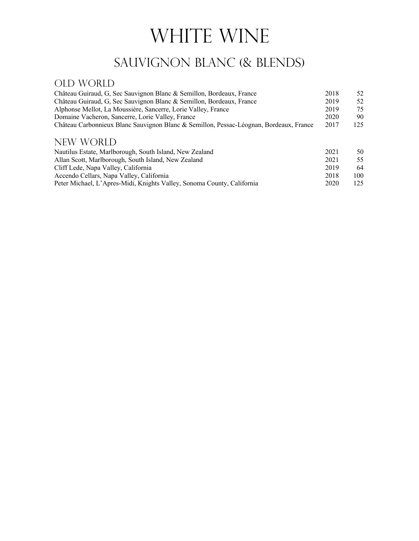# WHITE WINE

# SAUVIGNON BLANC (& BLENDS)

#### OLD WORLD

| Château Guiraud, G, Sec Sauvignon Blanc & Semillon, Bordeaux, France                   | 2018 | 52  |
|----------------------------------------------------------------------------------------|------|-----|
| Château Guiraud, G, Sec Sauvignon Blanc & Semillon, Bordeaux, France                   | 2019 | 52  |
| Alphonse Mellot, La Moussière, Sancerre, Lorie Valley, France                          | 2019 | 75  |
| Domaine Vacheron, Sancerre, Lorie Valley, France                                       | 2020 | 90  |
| Château Carbonnieux Blanc Sauvignon Blanc & Semillon, Pessac-Léognan, Bordeaux, France | 2017 | 125 |
| NEW WORLD                                                                              |      |     |
| Nautilus Estate, Marlborough, South Island, New Zealand                                | 2021 | 50  |
| Allan Scott, Marlborough, South Island, New Zealand                                    | 2021 | 55  |
| Cliff Lede, Napa Valley, California                                                    | 2019 | 64  |
| Accendo Cellars, Napa Valley, California                                               | 2018 | 100 |
| Peter Michael, L'Apres-Midi, Knights Valley, Sonoma County, California                 | 2020 | 125 |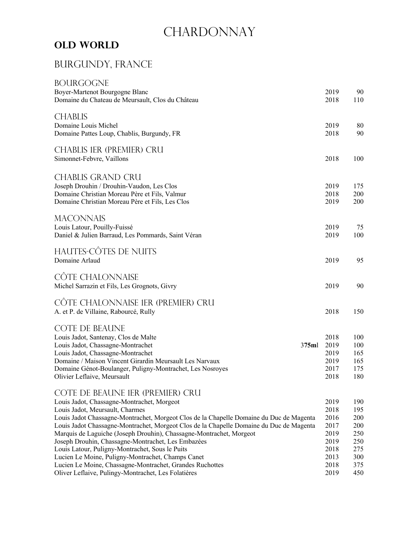# CHARDONNAY

#### **Old World**

#### Burgundy, France

| <b>BOURGOGNE</b><br>Boyer-Martenot Bourgogne Blanc<br>Domaine du Chateau de Meursault, Clos du Château                                                                                                                                                                                                                                                                                                                                                                                                                                                                                                                                                          | 2019<br>2018                                                                 | 90<br>110                                                          |
|-----------------------------------------------------------------------------------------------------------------------------------------------------------------------------------------------------------------------------------------------------------------------------------------------------------------------------------------------------------------------------------------------------------------------------------------------------------------------------------------------------------------------------------------------------------------------------------------------------------------------------------------------------------------|------------------------------------------------------------------------------|--------------------------------------------------------------------|
| <b>CHABLIS</b><br>Domaine Louis Michel<br>Domaine Pattes Loup, Chablis, Burgundy, FR                                                                                                                                                                                                                                                                                                                                                                                                                                                                                                                                                                            | 2019<br>2018                                                                 | 80<br>90                                                           |
| <b>CHABLIS IER (PREMIER) CRU</b><br>Simonnet-Febvre, Vaillons                                                                                                                                                                                                                                                                                                                                                                                                                                                                                                                                                                                                   | 2018                                                                         | 100                                                                |
| <b>CHABLIS GRAND CRU</b><br>Joseph Drouhin / Drouhin-Vaudon, Les Clos<br>Domaine Christian Moreau Père et Fils, Valmur<br>Domaine Christian Moreau Père et Fils, Les Clos                                                                                                                                                                                                                                                                                                                                                                                                                                                                                       | 2019<br>2018<br>2019                                                         | 175<br>200<br>200                                                  |
| <b>MACONNAIS</b><br>Louis Latour, Pouilly-Fuissé<br>Daniel & Julien Barraud, Les Pommards, Saint Véran                                                                                                                                                                                                                                                                                                                                                                                                                                                                                                                                                          | 2019<br>2019                                                                 | 75<br>100                                                          |
| HAUTES-CÔTES DE NUITS<br>Domaine Arlaud                                                                                                                                                                                                                                                                                                                                                                                                                                                                                                                                                                                                                         | 2019                                                                         | 95                                                                 |
| CÔTE CHALONNAISE<br>Michel Sarrazin et Fils, Les Grognots, Givry                                                                                                                                                                                                                                                                                                                                                                                                                                                                                                                                                                                                | 2019                                                                         | 90                                                                 |
| CÔTE CHALONNAISE 1ER (PREMIER) CRU<br>A. et P. de Villaine, Rabourcé, Rully                                                                                                                                                                                                                                                                                                                                                                                                                                                                                                                                                                                     | 2018                                                                         | 150                                                                |
| <b>COTE DE BEAUNE</b><br>Louis Jadot, Santenay, Clos de Malte<br>Louis Jadot, Chassagne-Montrachet<br>375ml<br>Louis Jadot, Chassagne-Montrachet<br>Domaine / Maison Vincent Girardin Meursault Les Narvaux<br>Domaine Génot-Boulanger, Puligny-Montrachet, Les Nosroyes<br>Olivier Leflaive, Meursault                                                                                                                                                                                                                                                                                                                                                         | 2018<br>2019<br>2019<br>2019<br>2017<br>2018                                 | 100<br>100<br>165<br>165<br>175<br>180                             |
| COTE DE BEAUNE IER (PREMIER) CRU<br>Louis Jadot, Chassagne-Montrachet, Morgeot<br>Louis Jadot, Meursault, Charmes<br>Louis Jadot Chassagne-Montrachet, Morgeot Clos de la Chapelle Domaine du Duc de Magenta<br>Louis Jadot Chassagne-Montrachet, Morgeot Clos de la Chapelle Domaine du Duc de Magenta<br>Marquis de Laguiche (Joseph Drouhin), Chassagne-Montrachet, Morgeot<br>Joseph Drouhin, Chassagne-Montrachet, Les Embazées<br>Louis Latour, Puligny-Montrachet, Sous le Puits<br>Lucien Le Moine, Puligny-Montrachet, Champs Canet<br>Lucien Le Moine, Chassagne-Montrachet, Grandes Ruchottes<br>Oliver Leflaive, Pulingy-Montrachet, Les Folatières | 2019<br>2018<br>2016<br>2017<br>2019<br>2019<br>2018<br>2013<br>2018<br>2019 | 190<br>195<br>200<br>200<br>250<br>250<br>275<br>300<br>375<br>450 |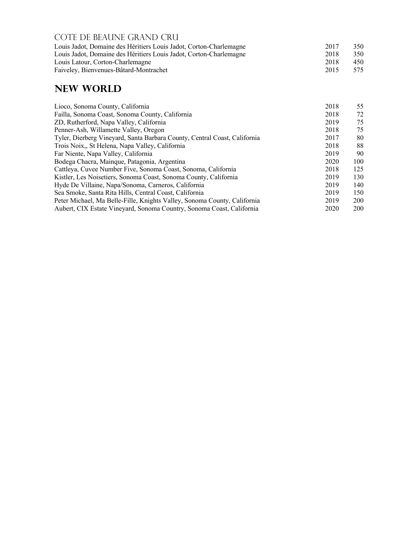| COTE DE BEAUNE GRAND CRU                                           |      |      |
|--------------------------------------------------------------------|------|------|
| Louis Jadot, Domaine des Héritiers Louis Jadot, Corton-Charlemagne | 2017 | 350  |
| Louis Jadot, Domaine des Héritiers Louis Jadot, Corton-Charlemagne | 2018 | 350  |
| Louis Latour, Corton-Charlemagne                                   | 2018 | 450  |
| Faiveley, Bienvenues-Bâtard-Montrachet                             | 2015 | 575. |

#### **New World**

| Lioco, Sonoma County, California                                          | 2018 | 55         |
|---------------------------------------------------------------------------|------|------------|
| Failla, Sonoma Coast, Sonoma County, California                           | 2018 | 72         |
| ZD, Rutherford, Napa Valley, California                                   | 2019 | 75         |
| Penner-Ash, Willamette Valley, Oregon                                     | 2018 | 75         |
| Tyler, Dierberg Vineyard, Santa Barbara County, Central Coast, California | 2017 | 80         |
| Trois Noix,, St Helena, Napa Valley, California                           | 2018 | 88         |
| Far Niente, Napa Valley, California                                       | 2019 | 90         |
| Bodega Chacra, Mainque, Patagonia, Argentina                              | 2020 | 100        |
| Cattleya, Cuvee Number Five, Sonoma Coast, Sonoma, California             | 2018 | 125        |
| Kistler, Les Noisetiers, Sonoma Coast, Sonoma County, California          | 2019 | 130        |
| Hyde De Villaine, Napa/Sonoma, Carneros, California                       | 2019 | 140        |
| Sea Smoke, Santa Rita Hills, Central Coast, California                    | 2019 | 150        |
| Peter Michael, Ma Belle-Fille, Knights Valley, Sonoma County, California  | 2019 | 200        |
| Aubert, CIX Estate Vineyard, Sonoma Country, Sonoma Coast, California     | 2020 | <b>200</b> |
|                                                                           |      |            |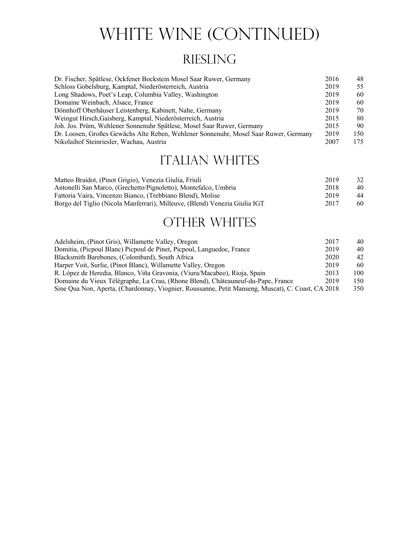# WHITE WINE (CONTINUED)

# **RIESLING**

| Dr. Fischer, Spätlese, Ockfener Bockstein Mosel Saar Ruwer, Germany                  | 2016 | 48  |
|--------------------------------------------------------------------------------------|------|-----|
| Schloss Gobelsburg, Kamptal, Niederösterreich, Austria                               | 2019 | 55  |
| Long Shadows, Poet's Leap, Columbia Valley, Washington                               | 2019 | 60  |
| Domaine Weinbach, Alsace, France                                                     | 2019 | 60  |
| Dönnhoff Oberhäuser Leistenberg, Kabinett, Nahe, Germany                             | 2019 | 70  |
| Weingut Hirsch, Gaisberg, Kamptal, Niederösterreich, Austria                         | 2015 | 80  |
| Joh. Jos. Prüm, Wehlener Sonnenuhr Spätlese, Mosel Saar Ruwer, Germany               | 2015 | 90  |
| Dr. Loosen, Großes Gewächs Alte Reben, Wehlener Sonnenuhr, Mosel Saar Ruwer, Germany | 2019 | 150 |
| Nikolaihof Steinriesler, Wachau, Austria                                             | 2007 | 175 |

## **ITALIAN WHITES**

| Matteo Braidot, (Pinot Grigio), Venezia Giulia, Friuli                     | 2019 | 32 |
|----------------------------------------------------------------------------|------|----|
| Antonelli San Marco, (Grechetto/Pignoletto), Montefalco, Umbria            | 2018 | 40 |
| Fattoria Vaira, Vincenzo Bianco, (Trebbiano Blend), Molise                 | 2019 | 44 |
| Borgo del Tiglio (Nicola Manferrari), Milleuve, (Blend) Venezia Giulia IGT | 2017 | 60 |

## OTHER WHITES

| Adelsheim, (Pinot Gris), Willamette Valley, Oregon                                                | 2017 | 40  |
|---------------------------------------------------------------------------------------------------|------|-----|
| Domitia, (Picpoul Blanc) Picpoul de Pinet, Picpoul, Languedoc, France                             | 2019 | 40  |
| Blacksmith Barebones, (Colombard), South Africa                                                   | 2020 | 42  |
| Harper Voit, Surlie, (Pinot Blanc), Willamette Valley, Oregon                                     | 2019 | 60  |
| R. López de Heredia, Blanco, Viña Gravonia, (Viura/Macabeo), Rioja, Spain                         | 2013 | 100 |
| Domaine du Vieux Télégraphe, La Crau, (Rhone Blend), Châteauneuf-du-Pape, France                  | 2019 | 150 |
| Sine Qua Non, Aperta, (Chardonnay, Viognier, Roussanne, Petit Manseng, Muscat), C. Coast, CA 2018 |      | 350 |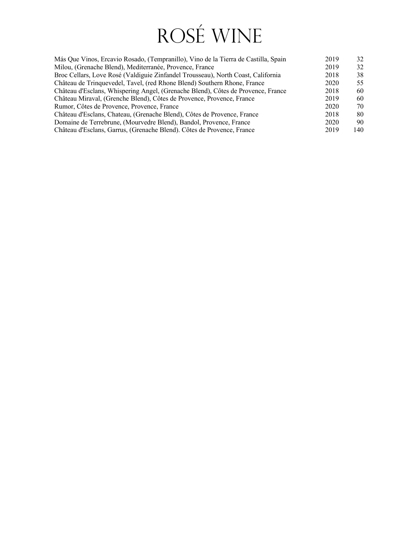# Rosé Wine

| Más Que Vinos, Ercavio Rosado, (Tempranillo), Vino de la Tierra de Castilla, Spain | 32<br>2019   |
|------------------------------------------------------------------------------------|--------------|
| Milou, (Grenache Blend), Mediterranée, Provence, France                            | 2019<br>32   |
| Broc Cellars, Love Rosé (Valdiguie Zinfandel Trousseau), North Coast, California   | 38<br>2018   |
| Château de Trinquevedel, Tavel, (red Rhone Blend) Southern Rhone, France           | 2020<br>55   |
| Château d'Esclans, Whispering Angel, (Grenache Blend), Côtes de Provence, France   | 2018<br>60   |
| Château Miraval, (Grenche Blend), Côtes de Provence, Provence, France              | 2019<br>60   |
| Rumor, Côtes de Provence, Provence, France                                         | 2020<br>70   |
| Château d'Esclans, Chateau, (Grenache Blend), Côtes de Provence, France            | 2018<br>80   |
| Domaine de Terrebrune, (Mourvedre Blend), Bandol, Provence, France                 | 2020<br>90   |
| Château d'Esclans, Garrus, (Grenache Blend). Côtes de Provence, France             | 2019<br>140. |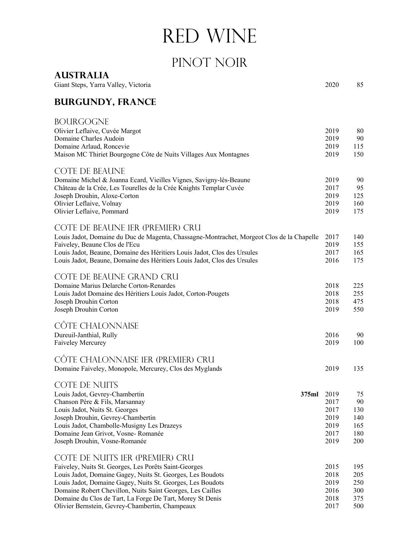# Red Wine

# PINOT NOIR

**Australia**

| Giant Steps, Yarra Valley, Victoria                                                       |       | 2020 | 85  |
|-------------------------------------------------------------------------------------------|-------|------|-----|
| <b>BURGUNDY, FRANCE</b>                                                                   |       |      |     |
| <b>BOURGOGNE</b>                                                                          |       |      |     |
| Olivier Leflaive, Cuvée Margot                                                            |       | 2019 | 80  |
| Domaine Charles Audoin                                                                    |       | 2019 | 90  |
| Domaine Arlaud, Roncevie                                                                  |       | 2019 | 115 |
| Maison MC Thiriet Bourgogne Côte de Nuits Villages Aux Montagnes                          |       | 2019 | 150 |
| <b>COTE DE BEAUNE</b>                                                                     |       |      |     |
| Domaine Michel & Joanna Ecard, Vieilles Vignes, Savigny-lès-Beaune                        |       | 2019 | 90  |
| Château de la Crée, Les Tourelles de la Crée Knights Templar Cuvée                        |       | 2017 | 95  |
| Joseph Drouhin, Aloxe-Corton                                                              |       | 2019 | 125 |
| Olivier Leflaive, Volnay                                                                  |       | 2019 | 160 |
| Olivier Leflaive, Pommard                                                                 |       | 2019 | 175 |
| COTE DE BEAUNE IER (PREMIER) CRU                                                          |       |      |     |
| Louis Jadot, Domaine du Duc de Magenta, Chassagne-Montrachet, Morgeot Clos de la Chapelle |       | 2017 | 140 |
| Faiveley, Beaune Clos de l'Ecu                                                            |       | 2019 | 155 |
| Louis Jadot, Beaune, Domaine des Héritiers Louis Jadot, Clos des Ursules                  |       | 2017 | 165 |
| Louis Jadot, Beaune, Domaine des Héritiers Louis Jadot, Clos des Ursules                  |       | 2016 | 175 |
| COTE DE BEAUNE GRAND CRU                                                                  |       |      |     |
| Domaine Marius Delarche Corton-Renardes                                                   |       | 2018 | 225 |
| Louis Jadot Domaine des Héritiers Louis Jadot, Corton-Pougets                             |       | 2018 | 255 |
| Joseph Drouhin Corton                                                                     |       | 2018 | 475 |
| Joseph Drouhin Corton                                                                     |       | 2019 | 550 |
| <b>CÔTE CHALONNAISE</b>                                                                   |       |      |     |
| Dureuil-Janthial, Rully                                                                   |       | 2016 | 90  |
| Faiveley Mercurey                                                                         |       | 2019 | 100 |
| CÔTE CHALONNAISE 1ER (PREMIER) CRU                                                        |       |      |     |
| Domaine Faiveley, Monopole, Mercurey, Clos des Myglands                                   |       | 2019 | 135 |
| <b>COTE DE NUITS</b>                                                                      |       |      |     |
| Louis Jadot, Gevrey-Chambertin                                                            | 375ml | 2019 | 75  |
| Chanson Père & Fils, Marsannay                                                            |       | 2017 | 90  |
| Louis Jadot, Nuits St. Georges                                                            |       | 2017 | 130 |
| Joseph Drouhin, Gevrey-Chambertin                                                         |       | 2019 | 140 |
| Louis Jadot, Chambolle-Musigny Les Drazeys                                                |       | 2019 | 165 |
| Domaine Jean Grivot, Vosne-Romanée                                                        |       | 2017 | 180 |
| Joseph Drouhin, Vosne-Romanée                                                             |       | 2019 | 200 |
| COTE DE NUITS IER (PREMIER) CRU                                                           |       |      |     |
| Faiveley, Nuits St. Georges, Les Porêts Saint-Georges                                     |       | 2015 | 195 |
| Louis Jadot, Domaine Gagey, Nuits St. Georges, Les Boudots                                |       | 2018 | 205 |
| Louis Jadot, Domaine Gagey, Nuits St. Georges, Les Boudots                                |       | 2019 | 250 |
| Domaine Robert Chevillon, Nuits Saint Georges, Les Cailles                                |       | 2016 | 300 |
| Domaine du Clos de Tart, La Forge De Tart, Morey St Denis                                 |       | 2018 | 375 |
| Olivier Bernstein, Gevrey-Chambertin, Champeaux                                           |       | 2017 | 500 |

Olivier Bernstein, Gevrey-Chambertin, Champeaux 2017 500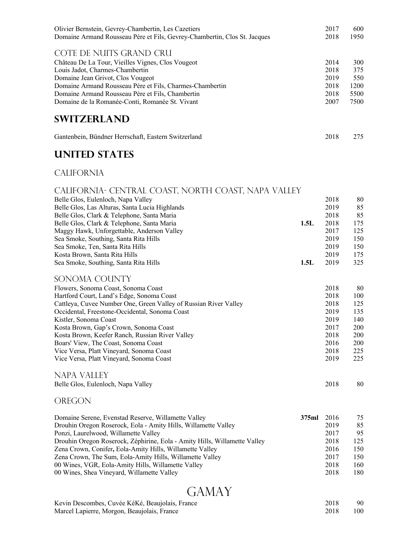| Olivier Bernstein, Gevrey-Chambertin, Les Cazetiers                       | 2017 | 600  |
|---------------------------------------------------------------------------|------|------|
| Domaine Armand Rousseau Père et Fils, Gevrey-Chambertin, Clos St. Jacques | 2018 | 1950 |
| COTE DE NUITS GRAND CRU                                                   |      |      |
| Château De La Tour, Vieilles Vignes, Clos Vougeot                         | 2014 | 300  |
| Louis Jadot, Charmes-Chambertin                                           | 2018 | 375  |
| Domaine Jean Grivot, Clos Vougeot                                         | 2019 | 550  |
| Domaine Armand Rousseau Père et Fils, Charmes-Chambertin                  | 2018 | 1200 |
| Domaine Armand Rousseau Père et Fils, Chambertin                          | 2018 | 5500 |
| Domaine de la Romanée-Conti, Romanée St. Vivant                           | 2007 | 7500 |
| <b>SWITZERLAND</b>                                                        |      |      |

| Gantenbein, Bündner Herrschaft, Eastern Switzerland | 2018 | 275 |
|-----------------------------------------------------|------|-----|

#### **UNITED STATES**

#### **CALIFORNIA**

| CALIFORNIA- CENTRAL COAST, NORTH COAST, NAPA VALLEY              |       |      |     |
|------------------------------------------------------------------|-------|------|-----|
| Belle Glos, Eulenloch, Napa Valley                               |       | 2018 | 80  |
| Belle Glos, Las Alturas, Santa Lucia Highlands                   |       | 2019 | 85  |
| Belle Glos, Clark & Telephone, Santa Maria                       |       | 2018 | 85  |
| Belle Glos, Clark & Telephone, Santa Maria                       | 1.5L  | 2018 | 175 |
| Maggy Hawk, Unforgettable, Anderson Valley                       |       | 2017 | 125 |
| Sea Smoke, Southing, Santa Rita Hills                            |       | 2019 | 150 |
| Sea Smoke, Ten, Santa Rita Hills                                 |       | 2019 | 150 |
| Kosta Brown, Santa Rita Hills                                    |       | 2019 | 175 |
| Sea Smoke, Southing, Santa Rita Hills                            | 1.5L  | 2019 | 325 |
| SONOMA COUNTY                                                    |       |      |     |
| Flowers, Sonoma Coast, Sonoma Coast                              |       | 2018 | 80  |
| Hartford Court, Land's Edge, Sonoma Coast                        |       | 2018 | 100 |
| Cattleya, Cuvee Number One, Green Valley of Russian River Valley |       | 2018 | 125 |
| Occidental, Freestone-Occidental, Sonoma Coast                   |       | 2019 | 135 |
| Kistler, Sonoma Coast                                            |       | 2019 | 140 |
| Kosta Brown, Gap's Crown, Sonoma Coast                           |       | 2017 | 200 |
| Kosta Brown, Keefer Ranch, Russian River Valley                  |       | 2018 | 200 |
| Boars' View, The Coast, Sonoma Coast                             |       | 2016 | 200 |
| Vice Versa, Platt Vineyard, Sonoma Coast                         |       | 2018 | 225 |
| Vice Versa, Platt Vineyard, Sonoma Coast                         |       | 2019 | 225 |
| NAPA VALLEY                                                      |       |      |     |
| Belle Glos, Eulenloch, Napa Valley                               |       | 2018 | 80  |
| OREGON                                                           |       |      |     |
| Domaine Serene, Evenstad Reserve, Willamette Valley              | 375ml | 2016 | 75  |
| Drouhin Oregon Roserock, Eola - Amity Hills, Willamette Valley   |       | 2019 | 85  |
| Ponzi, Laurelwood, Willamette Valley                             |       | 2017 | 95  |

| Drouhin Oregon Roserock, Zéphirine, Eola - Amity Hills, Willamette Valley | 2018 | 125 |
|---------------------------------------------------------------------------|------|-----|
| Zena Crown, Conifer, Eola-Amity Hills, Willamette Valley                  | 2016 | 150 |
| Zena Crown, The Sum, Eola-Amity Hills, Willamette Valley                  | 2017 | 150 |
| 00 Wines, VGR, Eola-Amity Hills, Willamette Valley                        | 2018 | 160 |
| 00 Wines, Shea Vineyard, Willamette Valley                                | 2018 | 180 |

# **GAMAY**

| Kevin Descombes, Cuvée KéKé, Beaujolais, France | 2018 | 90  |
|-------------------------------------------------|------|-----|
| Marcel Lapierre, Morgon, Beaujolais, France     | 2018 | 100 |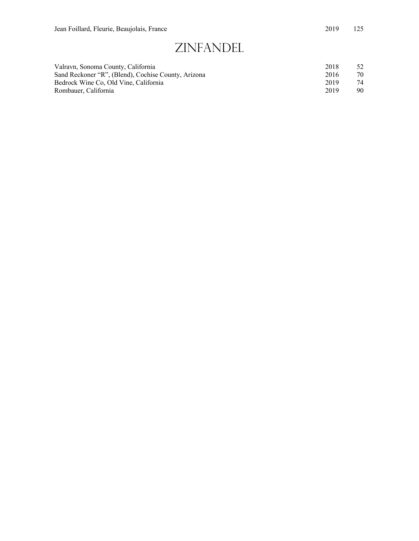# Zinfandel

| Valravn, Sonoma County, California                  | 2018 | 52 |
|-----------------------------------------------------|------|----|
| Sand Reckoner "R", (Blend), Cochise County, Arizona | 2016 | 70 |
| Bedrock Wine Co. Old Vine, California               | 2019 | 74 |
| Rombauer, California                                | 2019 | 90 |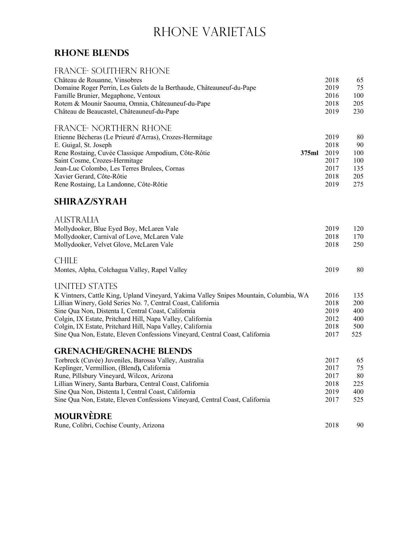# RHONE VARIETALS

#### **Rhone Blends**

#### FRANCE- SOUTHERN RHONE

| Château de Rouanne, Vinsobres<br>Domaine Roger Perrin, Les Galets de la Berthaude, Châteauneuf-du-Pape<br>Famille Brunier, Megaphone, Ventoux<br>Rotem & Mounir Saouma, Omnia, Châteauneuf-du-Pape<br>Château de Beaucastel, Châteauneuf-du-Pape                                                                                 |       | 2018<br>2019<br>2016<br>2018<br>2019                 | 65<br>75<br>100<br>205<br>230               |
|----------------------------------------------------------------------------------------------------------------------------------------------------------------------------------------------------------------------------------------------------------------------------------------------------------------------------------|-------|------------------------------------------------------|---------------------------------------------|
| <b>FRANCE- NORTHERN RHONE</b><br>Etienne Bécheras (Le Prieuré d'Arras), Crozes-Hermitage<br>E. Guigal, St. Joseph<br>Rene Rostaing, Cuvée Classique Ampodium, Côte-Rôtie<br>Saint Cosme, Crozes-Hermitage<br>Jean-Luc Colombo, Les Terres Brulees, Cornas<br>Xavier Gerard, Côte-Rôtie<br>Rene Rostaing, La Landonne, Côte-Rôtie | 375ml | 2019<br>2018<br>2019<br>2017<br>2017<br>2018<br>2019 | 80<br>90<br>100<br>100<br>135<br>205<br>275 |
| <b>SHIRAZ/SYRAH</b>                                                                                                                                                                                                                                                                                                              |       |                                                      |                                             |
| <b>AUSTRALIA</b><br>Mollydooker, Blue Eyed Boy, McLaren Vale<br>Mollydooker, Carnival of Love, McLaren Vale<br>Mollydooker, Velvet Glove, McLaren Vale                                                                                                                                                                           |       | 2019<br>2018<br>2018                                 | 120<br>170<br>250                           |
| <b>CHILE</b><br>Montes, Alpha, Colchagua Valley, Rapel Valley                                                                                                                                                                                                                                                                    |       | 2019                                                 | 80                                          |
| <b>UNITED STATES</b>                                                                                                                                                                                                                                                                                                             |       |                                                      |                                             |
| K Vintners, Cattle King, Upland Vineyard, Yakima Valley Snipes Mountain, Columbia, WA<br>Lillian Winery, Gold Series No. 7, Central Coast, California<br>Sine Qua Non, Distenta I, Central Coast, California                                                                                                                     |       | 2016<br>2018<br>2019                                 | 135<br>200<br>400                           |
| Colgin, IX Estate, Pritchard Hill, Napa Valley, California<br>Colgin, IX Estate, Pritchard Hill, Napa Valley, California                                                                                                                                                                                                         |       | 2012<br>2018                                         | 400<br>500                                  |
| Sine Qua Non, Estate, Eleven Confessions Vineyard, Central Coast, California                                                                                                                                                                                                                                                     |       | 2017                                                 | 525                                         |
| <b>GRENACHE/GRENACHE BLENDS</b>                                                                                                                                                                                                                                                                                                  |       |                                                      |                                             |
| Torbreck (Cuvée) Juveniles, Barossa Valley, Australia<br>Keplinger, Vermillion, (Blend), California                                                                                                                                                                                                                              |       | 2017<br>2017                                         | 65<br>75                                    |
| Rune, Pillsbury Vineyard, Wilcox, Arizona                                                                                                                                                                                                                                                                                        |       | 2017                                                 | 80                                          |
| Lillian Winery, Santa Barbara, Central Coast, California                                                                                                                                                                                                                                                                         |       | 2018                                                 | 225                                         |
| Sine Qua Non, Distenta I, Central Coast, California                                                                                                                                                                                                                                                                              |       | 2019                                                 | 400                                         |
| Sine Qua Non, Estate, Eleven Confessions Vineyard, Central Coast, California                                                                                                                                                                                                                                                     |       | 2017                                                 | 525                                         |
| <b>MOURVÈDRE</b>                                                                                                                                                                                                                                                                                                                 |       |                                                      |                                             |
| Rune, Colibri, Cochise County, Arizona                                                                                                                                                                                                                                                                                           |       | 2018                                                 | 90                                          |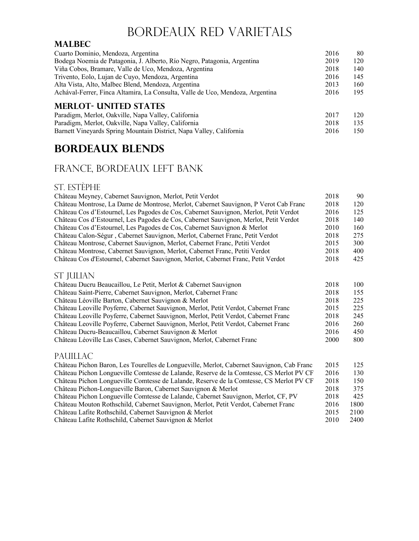## Bordeaux Red Varietals

#### **Malbec**

| Cuarto Dominio, Mendoza, Argentina                                            | 2016 | 80  |
|-------------------------------------------------------------------------------|------|-----|
| Bodega Noemia de Patagonia, J. Alberto, Río Negro, Patagonia, Argentina       | 2019 | 120 |
| Viña Cobos, Bramare, Valle de Uco, Mendoza, Argentina                         | 2018 | 140 |
| Trivento, Eolo, Lujan de Cuyo, Mendoza, Argentina                             | 2016 | 145 |
| Alta Vista, Alto, Malbec Blend, Mendoza, Argentina                            | 2013 | 160 |
| Achával-Ferrer, Finca Altamira, La Consulta, Valle de Uco, Mendoza, Argentina | 2016 | 195 |
| <b>MERLOT- UNITED STATES</b>                                                  |      |     |
| Paradigm, Merlot, Oakville, Napa Valley, California                           | 2017 | 120 |
| Paradigm, Merlot, Oakville, Napa Valley, California                           | 2018 | 135 |
| Barnett Vineyards Spring Mountain District, Napa Valley, California           | 2016 | 150 |

#### **Bordeaux Blends**

#### France, Bordeaux Left Bank

#### ST. ESTÈPHE

| Château Meyney, Cabernet Sauvignon, Merlot, Petit Verdot                                  | 2018 | 90   |
|-------------------------------------------------------------------------------------------|------|------|
| Château Montrose, La Dame de Montrose, Merlot, Cabernet Sauvignon, P Verot Cab Franc      | 2018 | 120  |
| Château Cos d'Estournel, Les Pagodes de Cos, Cabernet Sauvignon, Merlot, Petit Verdot     | 2016 | 125  |
| Château Cos d'Estournel, Les Pagodes de Cos, Cabernet Sauvignon, Merlot, Petit Verdot     | 2018 | 140  |
| Château Cos d'Estournel, Les Pagodes de Cos, Cabernet Sauvignon & Merlot                  | 2010 | 160  |
| Château Calon-Ségur, Cabernet Sauvignon, Merlot, Cabernet Franc, Petit Verdot             | 2018 | 275  |
| Château Montrose, Cabernet Sauvignon, Merlot, Cabernet Franc, Petiti Verdot               | 2015 | 300  |
| Château Montrose, Cabernet Sauvignon, Merlot, Cabernet Franc, Petiti Verdot               | 2018 | 400  |
| Château Cos d'Estournel, Cabernet Sauvignon, Merlot, Cabernet Franc, Petit Verdot         | 2018 | 425  |
| ST JULIAN                                                                                 |      |      |
| Château Ducru Beaucaillou, Le Petit, Merlot & Cabernet Sauvignon                          | 2018 | 100  |
| Château Saint-Pierre, Cabernet Sauvignon, Merlot, Cabernet Franc                          | 2018 | 155  |
| Château Léoville Barton, Cabernet Sauvignon & Merlot                                      | 2018 | 225  |
| Château Leoville Poyferre, Cabernet Sauvignon, Merlot, Petit Verdot, Cabernet Franc       | 2015 | 225  |
| Château Leoville Poyferre, Cabernet Sauvignon, Merlot, Petit Verdot, Cabernet Franc       | 2018 | 245  |
| Château Leoville Poyferre, Cabernet Sauvignon, Merlot, Petit Verdot, Cabernet Franc       | 2016 | 260  |
| Château Ducru-Beaucaillou, Cabernet Sauvignon & Merlot                                    | 2016 | 450  |
| Château Léoville Las Cases, Cabernet Sauvignon, Merlot, Cabernet Franc                    | 2000 | 800  |
| <b>PAUILLAC</b>                                                                           |      |      |
| Château Pichon Baron, Les Tourelles de Longueville, Merlot, Cabernet Sauvignon, Cab Franc | 2015 | 125  |
| Château Pichon Longueville Comtesse de Lalande, Reserve de la Comtesse, CS Merlot PV CF   | 2016 | 130  |
| Château Pichon Longueville Comtesse de Lalande, Reserve de la Comtesse, CS Merlot PV CF   | 2018 | 150  |
| Château Pichon-Longueville Baron, Cabernet Sauvignon & Merlot                             | 2018 | 375  |
| Château Pichon Longueville Comtesse de Lalande, Cabernet Sauvignon, Merlot, CF, PV        | 2018 | 425  |
| Château Mouton Rothschild, Cabernet Sauvignon, Merlot, Petit Verdot, Cabernet Franc       | 2016 | 1800 |
| Château Lafite Rothschild, Cabernet Sauvignon & Merlot                                    | 2015 | 2100 |

Château Lafite Rothschild, Cabernet Sauvignon & Merlot 2010 2400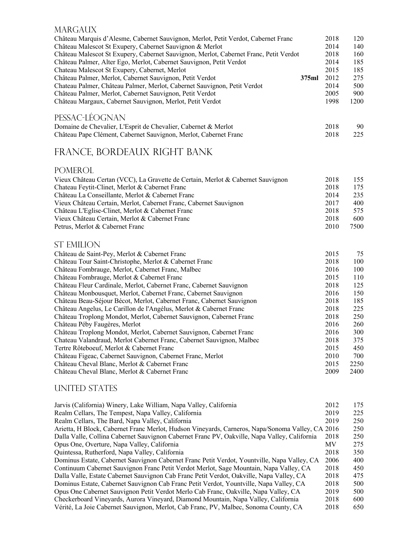#### **MARGAUX**

| Château Marquis d'Alesme, Cabernet Sauvignon, Merlot, Petit Verdot, Cabernet Franc<br>Château Malescot St Exupery, Cabernet Sauvignon & Merlot | 2018<br>2014 | 120<br>140 |
|------------------------------------------------------------------------------------------------------------------------------------------------|--------------|------------|
| Château Malescot St Exupery, Cabernet Sauvignon, Merlot, Cabernet Franc, Petit Verdot                                                          | 2018         | 160        |
| Château Palmer, Alter Ego, Merlot, Cabernet Sauvignon, Petit Verdot                                                                            | 2014         | 185        |
| Chateau Malescot St Exupery, Cabernet, Merlot                                                                                                  | 2015         | 185        |
| Château Palmer, Merlot, Cabernet Sauvignon, Petit Verdot<br>375ml                                                                              | 2012         | 275        |
| Chateau Palmer, Château Palmer, Merlot, Cabernet Sauvignon, Petit Verdot                                                                       | 2014         | 500        |
| Château Palmer, Merlot, Cabernet Sauvignon, Petit Verdot                                                                                       | 2005         | 900        |
| Château Margaux, Cabernet Sauvignon, Merlot, Petit Verdot                                                                                      | 1998         | 1200       |
| PESSAC-LÉOGNAN                                                                                                                                 |              |            |
| Domaine de Chevalier, L'Esprit de Chevalier, Cabernet & Merlot                                                                                 | 2018         | 90         |
| Château Pape Clément, Cabernet Sauvignon, Merlot, Cabernet Franc                                                                               | 2018         | 225        |
| FRANCE, BORDEAUX RIGHT BANK                                                                                                                    |              |            |
|                                                                                                                                                |              |            |
| <b>POMEROL</b>                                                                                                                                 |              |            |
| Vieux Château Certan (VCC), La Gravette de Certain, Merlot & Cabernet Sauvignon                                                                | 2018         | 155        |
| Chateau Feytit-Clinet, Merlot & Cabernet Franc                                                                                                 | 2018         | 175        |
| Château La Conseillante, Merlot & Cabernet Franc                                                                                               | 2014         | 235        |
| Vieux Château Certain, Merlot, Cabernet Franc, Cabernet Sauvignon                                                                              | 2017         | 400        |
| Château L'Eglise-Clinet, Merlot & Cabernet Franc                                                                                               | 2018         | 575        |
| Vieux Château Certain, Merlot & Cabernet Franc                                                                                                 | 2018         | 600        |
| Petrus, Merlot & Cabernet Franc                                                                                                                | 2010         | 7500       |
| <b>ST EMILION</b>                                                                                                                              |              |            |
| Château de Saint-Pey, Merlot & Cabernet Franc                                                                                                  | 2015         | 75         |
| Château Tour Saint-Christophe, Merlot & Cabernet Franc                                                                                         | 2018         | 100        |
| Château Fombrauge, Merlot, Cabernet Franc, Malbec                                                                                              | 2016         | 100        |
| Château Fombrauge, Merlot & Cabernet Franc                                                                                                     | 2015         | 110        |
| Château Fleur Cardinale, Merlot, Cabernet Franc, Cabernet Sauvignon                                                                            | 2018         | 125        |
| Château Monbousquet, Merlot, Cabernet Franc, Cabernet Sauvignon                                                                                | 2016         | 150        |
| Château Beau-Séjour Bécot, Merlot, Cabernet Franc, Cabernet Sauvignon                                                                          | 2018         | 185        |
| Château Angelus, Le Carillon de l'Angélus, Merlot & Cabernet Franc                                                                             | 2018         | 225        |
| Château Troplong Mondot, Merlot, Cabernet Sauvignon, Cabernet Franc                                                                            | 2018         | 250        |
| Château Péby Faugères, Merlot                                                                                                                  | 2016         | 260        |
| Château Troplong Mondot, Merlot, Cabernet Sauvignon, Cabernet Franc                                                                            | 2016         | 300        |
| Chateau Valandraud, Merlot Cabernet Franc, Cabernet Sauvignon, Malbec                                                                          | 2018         | 375        |
| Tertre Rôteboeuf, Merlot & Cabernet Franc                                                                                                      | 2015         | 450        |
| Château Figeac, Cabernet Sauvignon, Cabernet Franc, Merlot                                                                                     | 2010         | 700        |
| Château Cheval Blanc, Merlot & Cabernet Franc                                                                                                  | 2015         | 2250       |
| Château Cheval Blanc, Merlot & Cabernet Franc                                                                                                  | 2009         | 2400       |

#### UNITED STATES

| Jarvis (California) Winery, Lake William, Napa Valley, California                                | 2012      | 175 |
|--------------------------------------------------------------------------------------------------|-----------|-----|
| Realm Cellars, The Tempest, Napa Valley, California                                              | 2019      | 225 |
| Realm Cellars, The Bard, Napa Valley, California                                                 | 2019      | 250 |
| Arietta, H Block, Cabernet Franc Merlot, Hudson Vineyards, Carneros, Napa/Sonoma Valley, CA 2016 |           | 250 |
| Dalla Valle, Collina Cabernet Sauvignon Cabernet Franc PV, Oakville, Napa Valley, California     | 2018      | 250 |
| Opus One, Overture, Napa Valley, California                                                      | <b>MV</b> | 275 |
| Quintessa, Rutherford, Napa Valley, California                                                   | 2018      | 350 |
| Dominus Estate, Cabernet Sauvignon Cabernet Franc Petit Verdot, Yountville, Napa Valley, CA      | 2006      | 400 |
| Continuum Cabernet Sauvignon Franc Petit Verdot Merlot, Sage Mountain, Napa Valley, CA           | 2018      | 450 |
| Dalla Valle, Estate Cabernet Sauvignon Cab Franc Petit Verdot, Oakville, Napa Valley, CA         | 2018      | 475 |
| Dominus Estate, Cabernet Sauvignon Cab Franc Petit Verdot, Yountville, Napa Valley, CA           | 2018      | 500 |
| Opus One Cabernet Sauvignon Petit Verdot Merlo Cab Franc, Oakville, Napa Valley, CA              | 2019      | 500 |
| Checkerboard Vineyards, Aurora Vineyard, Diamond Mountain, Napa Valley, California               | 2018      | 600 |
| Vérité, La Joie Cabernet Sauvignon, Merlot, Cab Franc, PV, Malbec, Sonoma County, CA             | 2018      | 650 |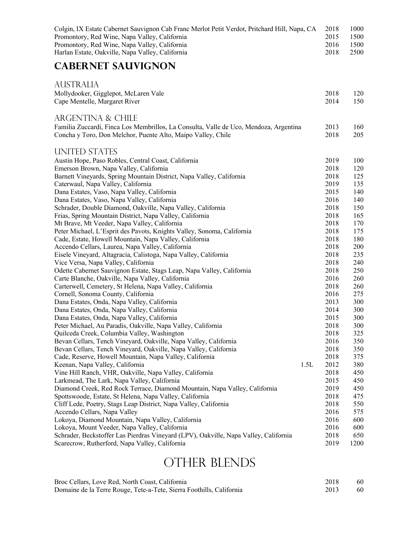| Colgin, IX Estate Cabernet Sauvignon Cab Franc Merlot Petit Verdot, Pritchard Hill, Napa, CA<br>Promontory, Red Wine, Napa Valley, California<br>Promontory, Red Wine, Napa Valley, California<br>Harlan Estate, Oakville, Napa Valley, California |      | 2018<br>2015<br>2016<br>2018 | 1000<br>1500<br>1500<br>2500 |
|----------------------------------------------------------------------------------------------------------------------------------------------------------------------------------------------------------------------------------------------------|------|------------------------------|------------------------------|
| <b>CABERNET SAUVIGNON</b>                                                                                                                                                                                                                          |      |                              |                              |
| <b>AUSTRALIA</b>                                                                                                                                                                                                                                   |      |                              |                              |
| Mollydooker, Gigglepot, McLaren Vale<br>Cape Mentelle, Margaret River                                                                                                                                                                              |      | 2018<br>2014                 | 120<br>150                   |
| ARGENTINA & CHILE                                                                                                                                                                                                                                  |      |                              |                              |
| Familia Zuccardi, Finca Los Membrillos, La Consulta, Valle de Uco, Mendoza, Argentina<br>Concha y Toro, Don Melchor, Puente Alto, Maipo Valley, Chile                                                                                              |      | 2013<br>2018                 | 160<br>205                   |
| UNITED STATES                                                                                                                                                                                                                                      |      |                              |                              |
| Austin Hope, Paso Robles, Central Coast, California                                                                                                                                                                                                |      | 2019                         | 100                          |
| Emerson Brown, Napa Valley, California                                                                                                                                                                                                             |      | 2018                         | 120                          |
| Barnett Vineyards, Spring Mountain District, Napa Valley, California                                                                                                                                                                               |      | 2018                         | 125                          |
| Caterwaul, Napa Valley, California<br>Dana Estates, Vaso, Napa Valley, California                                                                                                                                                                  |      | 2019<br>2015                 | 135<br>140                   |
| Dana Estates, Vaso, Napa Valley, California                                                                                                                                                                                                        |      | 2016                         | 140                          |
| Schrader, Double Diamond, Oakville, Napa Valley, California                                                                                                                                                                                        |      | 2018                         | 150                          |
| Frias, Spring Mountain District, Napa Valley, California                                                                                                                                                                                           |      | 2018                         | 165                          |
| Mt Brave, Mt Veeder, Napa Valley, California                                                                                                                                                                                                       |      | 2018                         | 170                          |
| Peter Michael, L'Esprit des Pavots, Knights Valley, Sonoma, California                                                                                                                                                                             |      | 2018                         | 175                          |
| Cade, Estate, Howell Mountain, Napa Valley, California                                                                                                                                                                                             |      | 2018                         | 180                          |
| Accendo Cellars, Laurea, Napa Valley, California                                                                                                                                                                                                   |      | 2018                         | 200                          |
| Eisele Vineyard, Altagracia, Calistoga, Napa Valley, California                                                                                                                                                                                    |      | 2018                         | 235                          |
| Vice Versa, Napa Valley, California                                                                                                                                                                                                                |      | 2018                         | 240                          |
| Odette Cabernet Sauvignon Estate, Stags Leap, Napa Valley, California                                                                                                                                                                              |      | 2018                         | 250                          |
| Carte Blanche, Oakville, Napa Valley, California                                                                                                                                                                                                   |      | 2016                         | 260                          |
| Carterwell, Cemetery, St Helena, Napa Valley, California                                                                                                                                                                                           |      | 2018                         | 260                          |
| Cornell, Sonoma County, California                                                                                                                                                                                                                 |      | 2016                         | 275                          |
| Dana Estates, Onda, Napa Valley, California                                                                                                                                                                                                        |      | 2013                         | 300                          |
| Dana Estates, Onda, Napa Valley, California<br>Dana Estates, Onda, Napa Valley, California                                                                                                                                                         |      | 2014<br>2015                 | 300<br>300                   |
| Peter Michael, Au Paradis, Oakville, Napa Valley, California                                                                                                                                                                                       |      | 2018                         | 300                          |
| Quilceda Creek, Columbia Valley, Washington                                                                                                                                                                                                        |      | 2018                         | 325                          |
| Bevan Cellars, Tench Vineyard, Oakville, Napa Valley, California                                                                                                                                                                                   |      | 2016                         | 350                          |
| Bevan Cellars, Tench Vineyard, Oakville, Napa Valley, California                                                                                                                                                                                   |      | 2018                         | 350                          |
| Cade, Reserve, Howell Mountain, Napa Valley, California                                                                                                                                                                                            |      | 2018                         | 375                          |
| Keenan, Napa Valley, California                                                                                                                                                                                                                    | 1.5L | 2012                         | 380                          |
| Vine Hill Ranch, VHR, Oakville, Napa Valley, California                                                                                                                                                                                            |      | 2018                         | 450                          |
| Larkmead, The Lark, Napa Valley, California                                                                                                                                                                                                        |      | 2015                         | 450                          |
| Diamond Creek, Red Rock Terrace, Diamond Mountain, Napa Valley, California                                                                                                                                                                         |      | 2019                         | 450                          |
| Spottswoode, Estate, St Helena, Napa Valley, California                                                                                                                                                                                            |      | 2018                         | 475                          |
| Cliff Lede, Poetry, Stags Leap District, Napa Valley, California                                                                                                                                                                                   |      | 2018                         | 550                          |
| Accendo Cellars, Napa Valley                                                                                                                                                                                                                       |      | 2016                         | 575                          |
| Lokoya, Diamond Mountain, Napa Valley, California                                                                                                                                                                                                  |      | 2016                         | 600                          |
| Lokoya, Mount Veeder, Napa Valley, California                                                                                                                                                                                                      |      | 2016                         | 600                          |
| Schrader, Beckstoffer Las Pierdras Vineyard (LPV), Oakville, Napa Valley, California<br>Scarecrow, Rutherford, Napa Valley, California                                                                                                             |      | 2018<br>2019                 | 650<br>1200                  |
|                                                                                                                                                                                                                                                    |      |                              |                              |

# OTHER BLENDS

| Broc Cellars, Love Red, North Coast, California                      | 2018 | 60 |
|----------------------------------------------------------------------|------|----|
| Domaine de la Terre Rouge, Tete-a-Tete, Sierra Foothills, California | 2013 | 60 |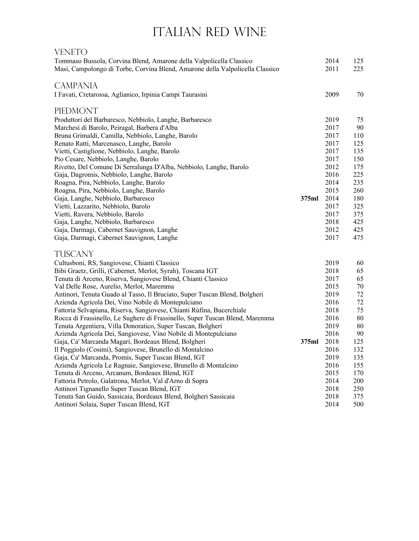# ITALIAN RED WINE

| VENETO                                                                                                      |       |              |            |
|-------------------------------------------------------------------------------------------------------------|-------|--------------|------------|
| Tommaso Bussola, Corvina Blend, Amarone della Valpolicella Classico                                         |       | 2014         | 125        |
| Masi, Campolongo di Torbe, Corvina Blend, Amarone della Valpolicella Classico                               |       | 2011         | 225        |
| <b>CAMPANIA</b>                                                                                             |       |              |            |
| I Favati, Cretarossa, Aglianico, Irpinia Campi Taurasini                                                    |       | 2009         | 70         |
| PIEDMONT                                                                                                    |       |              |            |
| Produttori del Barbaresco, Nebbiolo, Langhe, Barbaresco                                                     |       | 2019         | 75         |
| Marchesi di Barolo, Peiragal, Barbera d'Alba                                                                |       | 2017         | 90         |
| Bruna Grimaldi, Camilla, Nebbiolo, Langhe, Barolo                                                           |       | 2017         | 110        |
| Renato Ratti, Marcenasco, Langhe, Barolo                                                                    |       | 2017         | 125        |
| Vietti, Castiglione, Nebbiolo, Langhe, Barolo                                                               |       | 2017         | 135        |
| Pio Cesare, Nebbiolo, Langhe, Barolo                                                                        |       | 2017         | 150        |
| Rivetto, Del Comune Di Serralunga D'Alba, Nebbiolo, Langhe, Barolo                                          |       | 2012         | 175        |
| Gaja, Dagromis, Nebbiolo, Langhe, Barolo                                                                    |       | 2016         | 225        |
| Roagna, Pira, Nebbiolo, Langhe, Barolo                                                                      |       | 2014         | 235        |
| Roagna, Pira, Nebbiolo, Langhe, Barolo                                                                      |       | 2015         | 260        |
| Gaja, Langhe, Nebbiolo, Barbaresco                                                                          | 375ml | 2014         | 180        |
| Vietti, Lazzarito, Nebbiolo, Barolo<br>Vietti, Ravera, Nebbiolo, Barolo                                     |       | 2017         | 325        |
|                                                                                                             |       | 2017<br>2018 | 375<br>425 |
| Gaja, Langhe, Nebbiolo, Barbaresco<br>Gaja, Darmagi, Cabernet Sauvignon, Langhe                             |       | 2012         | 425        |
| Gaja, Darmagi, Cabernet Sauvignon, Langhe                                                                   |       | 2017         | 475        |
| TUSCANY                                                                                                     |       |              |            |
| Cultusboni, RS, Sangiovese, Chianti Classico                                                                |       | 2019         | 60         |
| Bibi Graetz, Grilli, (Cabernet, Merlot, Syrah), Toscana IGT                                                 |       | 2018         | 65         |
| Tenuta di Arceno, Riserva, Sangiovese Blend, Chianti Classico                                               |       | 2017         | 65         |
| Val Delle Rose, Aurelio, Merlot, Maremma                                                                    |       | 2015         | 70         |
| Antinori, Tenuta Guado al Tasso, Il Bruciato, Super Tuscan Blend, Bolgheri                                  |       | 2019         | 72         |
| Azienda Agricola Dei, Vino Nobile di Montepulciano                                                          |       | 2016         | $72\,$     |
| Fattoria Selvapiana, Riserva, Sangiovese, Chianti Rùfina, Bucerchiale                                       |       | 2018         | 75         |
| Rocca di Frassinello, Le Sughere di Frassinello, Super Tuscan Blend, Maremma                                |       | 2016         | 80         |
| Tenuta Argentiera, Villa Donoratico, Super Tuscan, Bolgheri                                                 |       | 2019         | 80         |
| Azienda Agricola Dei, Sangiovese, Vino Nobile di Montepulciano                                              |       | 2016         | 90         |
| Gaja, Ca' Marcanda Magari, Bordeaux Blend, Bolgheri                                                         | 375ml | 2018         | 125        |
| Il Poggiolo (Cosimi), Sangiovese, Brunello di Montalcino                                                    |       | 2016         | 132        |
| Gaja, Ca' Marcanda, Promis, Super Tuscan Blend, IGT                                                         |       | 2019         | 135        |
| Azienda Agricola Le Ragnaie, Sangiovese, Brunello di Montalcino                                             |       | 2016         | 155        |
| Tenuta di Arceno, Arcanum, Bordeaux Blend, IGT                                                              |       | 2015         | 170        |
| Fattoria Petrolo, Galatrona, Merlot, Val d'Arno di Sopra                                                    |       | 2014         | 200        |
| Antinori Tignanello Super Tuscan Blend, IGT                                                                 |       | 2018         | 250        |
| Tenuta San Guido, Sassicaia, Bordeaux Blend, Bolgheri Sassicaia<br>Antinori Solaia, Super Tuscan Blend, IGT |       | 2018<br>2014 | 375<br>500 |
|                                                                                                             |       |              |            |